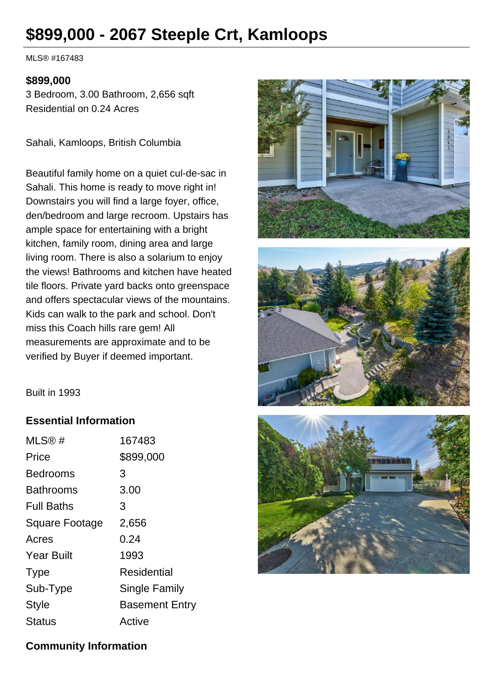# **\$899,000 - 2067 Steeple Crt, Kamloops**

MLS® #167483

#### **\$899,000**

3 Bedroom, 3.00 Bathroom, 2,656 sqft Residential on 0.24 Acres

Sahali, Kamloops, British Columbia

Beautiful family home on a quiet cul-de-sac in Sahali. This home is ready to move right in! Downstairs you will find a large foyer, office, den/bedroom and large recroom. Upstairs has ample space for entertaining with a bright kitchen, family room, dining area and large living room. There is also a solarium to enjoy the views! Bathrooms and kitchen have heated tile floors. Private yard backs onto greenspace and offers spectacular views of the mountains. Kids can walk to the park and school. Don't miss this Coach hills rare gem! All measurements are approximate and to be verified by Buyer if deemed important.





Built in 1993

#### **Essential Information**

| MLS@#                 | 167483                |
|-----------------------|-----------------------|
| Price                 | \$899,000             |
| <b>Bedrooms</b>       | 3                     |
| <b>Bathrooms</b>      | 3.00                  |
| <b>Full Baths</b>     | 3                     |
| <b>Square Footage</b> | 2,656                 |
| Acres                 | 0.24                  |
| <b>Year Built</b>     | 1993                  |
| <b>Type</b>           | Residential           |
| Sub-Type              | Single Family         |
| <b>Style</b>          | <b>Basement Entry</b> |
| Status                | Active                |



#### **Community Information**